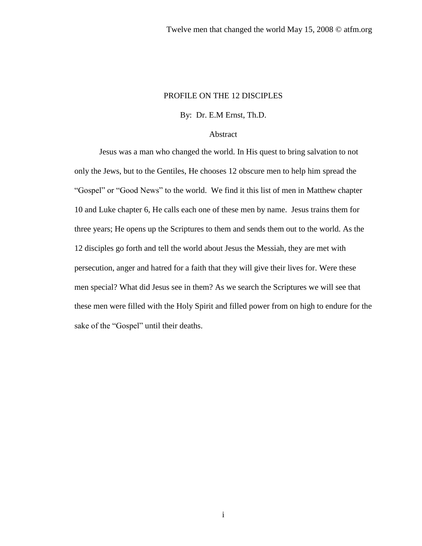#### PROFILE ON THE 12 DISCIPLES

# By: Dr. E.M Ernst, Th.D.

#### Abstract

Jesus was a man who changed the world. In His quest to bring salvation to not only the Jews, but to the Gentiles, He chooses 12 obscure men to help him spread the "Gospel" or "Good News" to the world. We find it this list of men in Matthew chapter 10 and Luke chapter 6, He calls each one of these men by name. Jesus trains them for three years; He opens up the Scriptures to them and sends them out to the world. As the 12 disciples go forth and tell the world about Jesus the Messiah, they are met with persecution, anger and hatred for a faith that they will give their lives for. Were these men special? What did Jesus see in them? As we search the Scriptures we will see that these men were filled with the Holy Spirit and filled power from on high to endure for the sake of the "Gospel" until their deaths.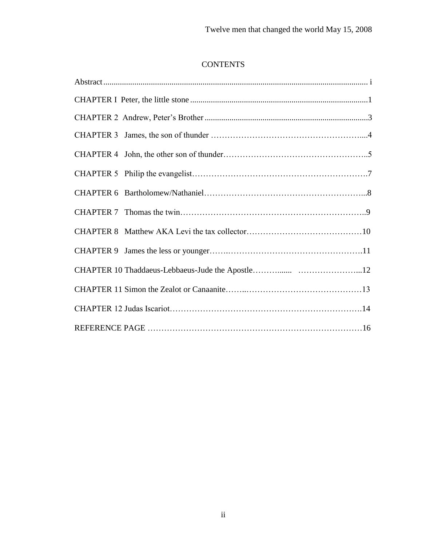# **CONTENTS**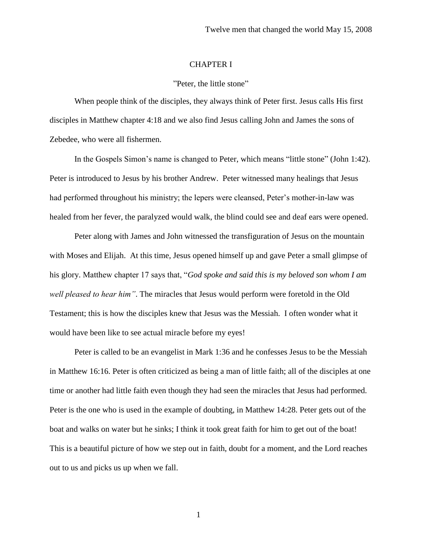## CHAPTER I

## "Peter, the little stone"

When people think of the disciples, they always think of Peter first. Jesus calls His first disciples in Matthew chapter 4:18 and we also find Jesus calling John and James the sons of Zebedee, who were all fishermen.

In the Gospels Simon's name is changed to Peter, which means "little stone" (John 1:42). Peter is introduced to Jesus by his brother Andrew. Peter witnessed many healings that Jesus had performed throughout his ministry; the lepers were cleansed, Peter's mother-in-law was healed from her fever, the paralyzed would walk, the blind could see and deaf ears were opened.

Peter along with James and John witnessed the transfiguration of Jesus on the mountain with Moses and Elijah. At this time, Jesus opened himself up and gave Peter a small glimpse of his glory. Matthew chapter 17 says that, "*God spoke and said this is my beloved son whom I am well pleased to hear him"*. The miracles that Jesus would perform were foretold in the Old Testament; this is how the disciples knew that Jesus was the Messiah. I often wonder what it would have been like to see actual miracle before my eyes!

Peter is called to be an evangelist in Mark 1:36 and he confesses Jesus to be the Messiah in Matthew 16:16. Peter is often criticized as being a man of little faith; all of the disciples at one time or another had little faith even though they had seen the miracles that Jesus had performed. Peter is the one who is used in the example of doubting, in Matthew 14:28. Peter gets out of the boat and walks on water but he sinks; I think it took great faith for him to get out of the boat! This is a beautiful picture of how we step out in faith, doubt for a moment, and the Lord reaches out to us and picks us up when we fall.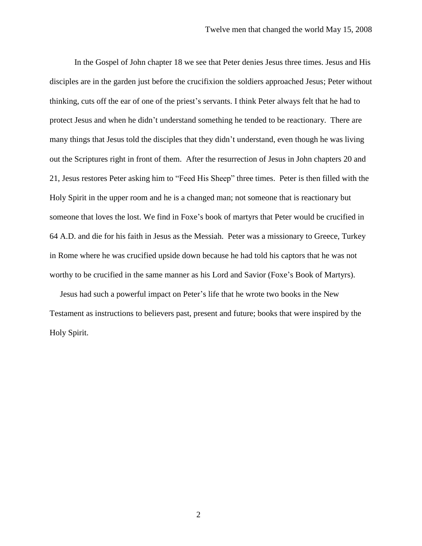In the Gospel of John chapter 18 we see that Peter denies Jesus three times. Jesus and His disciples are in the garden just before the crucifixion the soldiers approached Jesus; Peter without thinking, cuts off the ear of one of the priest's servants. I think Peter always felt that he had to protect Jesus and when he didn't understand something he tended to be reactionary. There are many things that Jesus told the disciples that they didn't understand, even though he was living out the Scriptures right in front of them. After the resurrection of Jesus in John chapters 20 and 21, Jesus restores Peter asking him to "Feed His Sheep" three times. Peter is then filled with the Holy Spirit in the upper room and he is a changed man; not someone that is reactionary but someone that loves the lost. We find in Foxe's book of martyrs that Peter would be crucified in 64 A.D. and die for his faith in Jesus as the Messiah. Peter was a missionary to Greece, Turkey in Rome where he was crucified upside down because he had told his captors that he was not worthy to be crucified in the same manner as his Lord and Savior (Foxe's Book of Martyrs).

 Jesus had such a powerful impact on Peter's life that he wrote two books in the New Testament as instructions to believers past, present and future; books that were inspired by the Holy Spirit.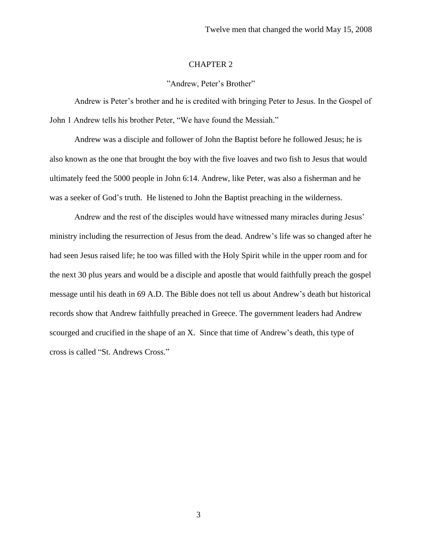## "Andrew, Peter's Brother"

Andrew is Peter's brother and he is credited with bringing Peter to Jesus. In the Gospel of John 1 Andrew tells his brother Peter, "We have found the Messiah."

Andrew was a disciple and follower of John the Baptist before he followed Jesus; he is also known as the one that brought the boy with the five loaves and two fish to Jesus that would ultimately feed the 5000 people in John 6:14. Andrew, like Peter, was also a fisherman and he was a seeker of God's truth. He listened to John the Baptist preaching in the wilderness.

 Andrew and the rest of the disciples would have witnessed many miracles during Jesus' ministry including the resurrection of Jesus from the dead. Andrew's life was so changed after he had seen Jesus raised life; he too was filled with the Holy Spirit while in the upper room and for the next 30 plus years and would be a disciple and apostle that would faithfully preach the gospel message until his death in 69 A.D. The Bible does not tell us about Andrew's death but historical records show that Andrew faithfully preached in Greece. The government leaders had Andrew scourged and crucified in the shape of an X. Since that time of Andrew's death, this type of cross is called "St. Andrews Cross."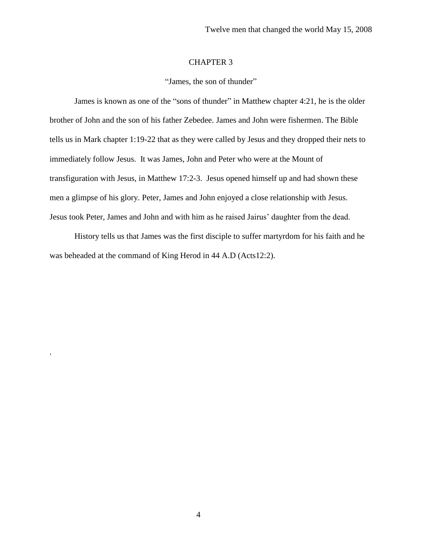# "James, the son of thunder"

James is known as one of the "sons of thunder" in Matthew chapter 4:21, he is the older brother of John and the son of his father Zebedee. James and John were fishermen. The Bible tells us in Mark chapter 1:19-22 that as they were called by Jesus and they dropped their nets to immediately follow Jesus. It was James, John and Peter who were at the Mount of transfiguration with Jesus, in Matthew 17:2-3. Jesus opened himself up and had shown these men a glimpse of his glory. Peter, James and John enjoyed a close relationship with Jesus. Jesus took Peter, James and John and with him as he raised Jairus' daughter from the dead.

History tells us that James was the first disciple to suffer martyrdom for his faith and he was beheaded at the command of King Herod in 44 A.D (Acts12:2).

.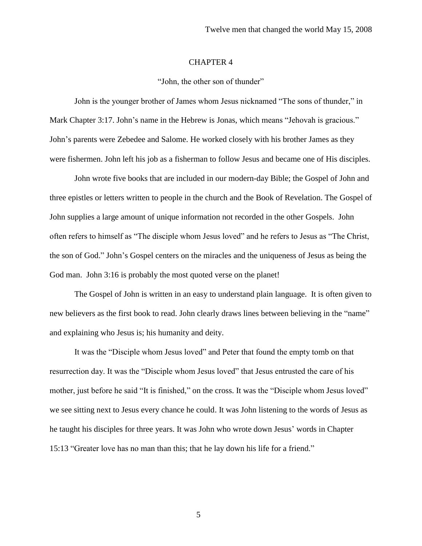#### "John, the other son of thunder"

John is the younger brother of James whom Jesus nicknamed "The sons of thunder," in Mark Chapter 3:17. John's name in the Hebrew is Jonas, which means "Jehovah is gracious." John's parents were Zebedee and Salome. He worked closely with his brother James as they were fishermen. John left his job as a fisherman to follow Jesus and became one of His disciples.

John wrote five books that are included in our modern-day Bible; the Gospel of John and three epistles or letters written to people in the church and the Book of Revelation. The Gospel of John supplies a large amount of unique information not recorded in the other Gospels. John often refers to himself as "The disciple whom Jesus loved" and he refers to Jesus as "The Christ, the son of God." John's Gospel centers on the miracles and the uniqueness of Jesus as being the God man. John 3:16 is probably the most quoted verse on the planet!

The Gospel of John is written in an easy to understand plain language. It is often given to new believers as the first book to read. John clearly draws lines between believing in the "name" and explaining who Jesus is; his humanity and deity.

It was the "Disciple whom Jesus loved" and Peter that found the empty tomb on that resurrection day. It was the "Disciple whom Jesus loved" that Jesus entrusted the care of his mother, just before he said "It is finished," on the cross. It was the "Disciple whom Jesus loved" we see sitting next to Jesus every chance he could. It was John listening to the words of Jesus as he taught his disciples for three years. It was John who wrote down Jesus' words in Chapter 15:13 "Greater love has no man than this; that he lay down his life for a friend."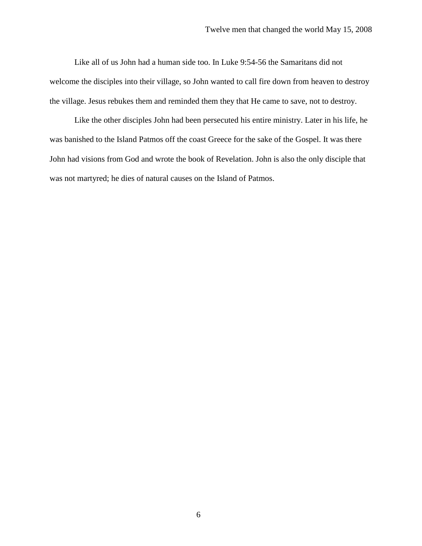Like all of us John had a human side too. In Luke 9:54-56 the Samaritans did not welcome the disciples into their village, so John wanted to call fire down from heaven to destroy the village. Jesus rebukes them and reminded them they that He came to save, not to destroy.

Like the other disciples John had been persecuted his entire ministry. Later in his life, he was banished to the Island Patmos off the coast Greece for the sake of the Gospel. It was there John had visions from God and wrote the book of Revelation. John is also the only disciple that was not martyred; he dies of natural causes on the Island of Patmos.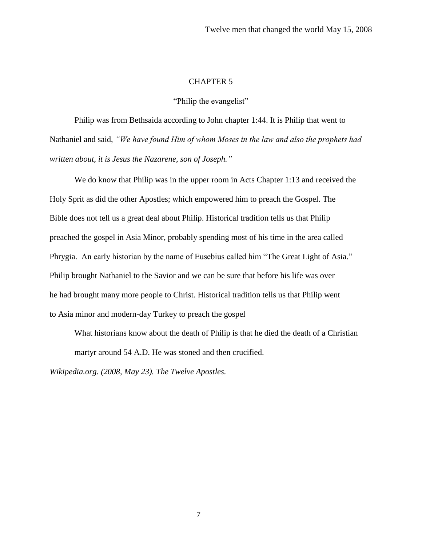"Philip the evangelist"

Philip was from Bethsaida according to John chapter 1:44. It is Philip that went to Nathaniel and said, *"We have found Him of whom Moses in the law and also the prophets had written about, it is Jesus the Nazarene, son of Joseph."*

We do know that Philip was in the upper room in Acts Chapter 1:13 and received the Holy Sprit as did the other Apostles; which empowered him to preach the Gospel. The Bible does not tell us a great deal about Philip. Historical tradition tells us that Philip preached the gospel in Asia Minor, probably spending most of his time in the area called Phrygia. An early historian by the name of Eusebius called him "The Great Light of Asia." Philip brought Nathaniel to the Savior and we can be sure that before his life was over he had brought many more people to Christ. Historical tradition tells us that Philip went to Asia minor and modern-day Turkey to preach the gospel

What historians know about the death of Philip is that he died the death of a Christian martyr around 54 A.D. He was stoned and then crucified.

*Wikipedia.org. (2008, May 23). The Twelve Apostles.*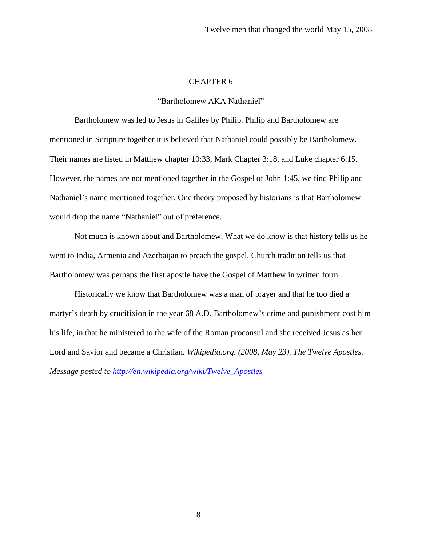## "Bartholomew AKA Nathaniel"

Bartholomew was led to Jesus in Galilee by Philip. Philip and Bartholomew are mentioned in Scripture together it is believed that Nathaniel could possibly be Bartholomew. Their names are listed in Matthew chapter 10:33, Mark Chapter 3:18, and Luke chapter 6:15. However, the names are not mentioned together in the Gospel of John 1:45, we find Philip and Nathaniel's name mentioned together. One theory proposed by historians is that Bartholomew would drop the name "Nathaniel" out of preference.

Not much is known about and Bartholomew. What we do know is that history tells us he went to India, Armenia and Azerbaijan to preach the gospel. Church tradition tells us that Bartholomew was perhaps the first apostle have the Gospel of Matthew in written form.

Historically we know that Bartholomew was a man of prayer and that he too died a martyr's death by crucifixion in the year 68 A.D. Bartholomew's crime and punishment cost him his life, in that he ministered to the wife of the Roman proconsul and she received Jesus as her Lord and Savior and became a Christian. *Wikipedia.org. (2008, May 23). The Twelve Apostles. Message posted to [http://en.wikipedia.org/wiki/Twelve\\_Apostles](http://​/​en.wikipedia.org/​wiki/​Twelve_Apostles)*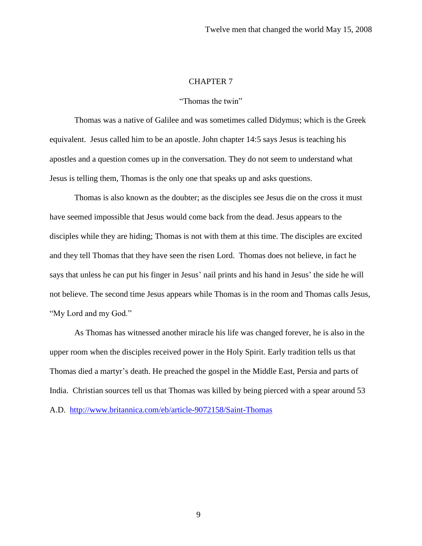# "Thomas the twin"

Thomas was a native of Galilee and was sometimes called Didymus; which is the Greek equivalent. Jesus called him to be an apostle. John chapter 14:5 says Jesus is teaching his apostles and a question comes up in the conversation. They do not seem to understand what Jesus is telling them, Thomas is the only one that speaks up and asks questions.

Thomas is also known as the doubter; as the disciples see Jesus die on the cross it must have seemed impossible that Jesus would come back from the dead. Jesus appears to the disciples while they are hiding; Thomas is not with them at this time. The disciples are excited and they tell Thomas that they have seen the risen Lord. Thomas does not believe, in fact he says that unless he can put his finger in Jesus' nail prints and his hand in Jesus' the side he will not believe. The second time Jesus appears while Thomas is in the room and Thomas calls Jesus, "My Lord and my God."

As Thomas has witnessed another miracle his life was changed forever, he is also in the upper room when the disciples received power in the Holy Spirit. Early tradition tells us that Thomas died a martyr's death. He preached the gospel in the Middle East, Persia and parts of India. Christian sources tell us that Thomas was killed by being pierced with a spear around 53 A.D. <http://www.britannica.com/eb/article-9072158/Saint-Thomas>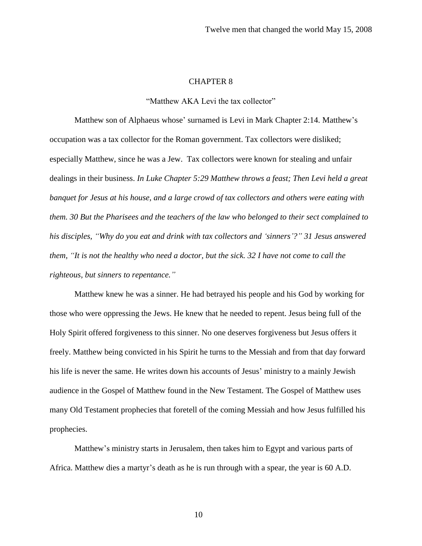#### "Matthew AKA Levi the tax collector"

Matthew son of Alphaeus whose' surnamed is Levi in Mark Chapter 2:14. Matthew's occupation was a tax collector for the Roman government. Tax collectors were disliked; especially Matthew, since he was a Jew. Tax collectors were known for stealing and unfair dealings in their business. *In Luke Chapter 5:29 Matthew throws a feast; Then Levi held a great banquet for Jesus at his house, and a large crowd of tax collectors and others were eating with them. 30 But the Pharisees and the teachers of the law who belonged to their sect complained to his disciples, "Why do you eat and drink with tax collectors and 'sinners'?" 31 Jesus answered them, "It is not the healthy who need a doctor, but the sick. 32 I have not come to call the righteous, but sinners to repentance."* 

Matthew knew he was a sinner. He had betrayed his people and his God by working for those who were oppressing the Jews. He knew that he needed to repent. Jesus being full of the Holy Spirit offered forgiveness to this sinner. No one deserves forgiveness but Jesus offers it freely. Matthew being convicted in his Spirit he turns to the Messiah and from that day forward his life is never the same. He writes down his accounts of Jesus' ministry to a mainly Jewish audience in the Gospel of Matthew found in the New Testament. The Gospel of Matthew uses many Old Testament prophecies that foretell of the coming Messiah and how Jesus fulfilled his prophecies.

Matthew's ministry starts in Jerusalem, then takes him to Egypt and various parts of Africa. Matthew dies a martyr's death as he is run through with a spear, the year is 60 A.D.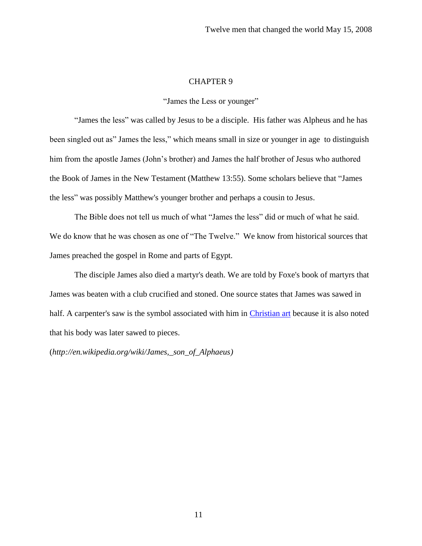"James the Less or younger"

"James the less" was called by Jesus to be a disciple. His father was Alpheus and he has been singled out as" James the less," which means small in size or younger in age to distinguish him from the apostle James (John's brother) and James the half brother of Jesus who authored the Book of James in the New Testament (Matthew 13:55). Some scholars believe that "James the less" was possibly Matthew's younger brother and perhaps a cousin to Jesus.

The Bible does not tell us much of what "James the less" did or much of what he said. We do know that he was chosen as one of "The Twelve." We know from historical sources that James preached the gospel in Rome and parts of Egypt.

The disciple James also died a martyr's death. We are told by Foxe's book of martyrs that James was beaten with a club crucified and stoned. One source states that James was sawed in half. A carpenter's saw is the symbol associated with him in [Christian art](http://en.wikipedia.org/wiki/Christian_art) because it is also noted that his body was later sawed to pieces.

(*http://en.wikipedia.org/wiki/James,\_son\_of\_Alphaeus)*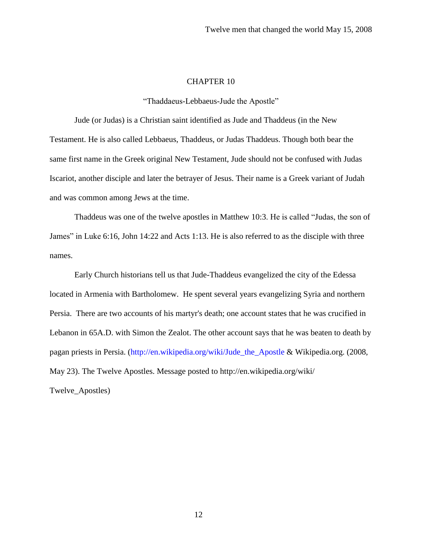"Thaddaeus-Lebbaeus-Jude the Apostle"

Jude (or Judas) is a [Christian](http://en.wikipedia.org/wiki/Christian) [saint](http://en.wikipedia.org/wiki/Saint) identified as Jude and Thaddeus (in the [New](http://en.wikipedia.org/wiki/New_Testament)  [Testament.](http://en.wikipedia.org/wiki/New_Testament) He is also called Lebbaeus, Thaddeus, or Judas Thaddeus. Though both bear the same first name in the [Greek](http://en.wikipedia.org/wiki/Greek_language) original [New Testament,](http://en.wikipedia.org/wiki/New_Testament) Jude should not be confused with [Judas](http://en.wikipedia.org/wiki/Judas_Iscariot)  [Iscariot,](http://en.wikipedia.org/wiki/Judas_Iscariot) another disciple and later the betrayer of [Jesus.](http://en.wikipedia.org/wiki/Jesus) Their name is a Greek variant of [Judah](http://en.wikipedia.org/wiki/Judah) and was common among Jews at the time.

Thaddeus was one of the twelve apostles in Matthew 10:3. He is called "Judas, the son of James" in Luke 6:16, John 14:22 and Acts 1:13. He is also referred to as the disciple with three names.

Early Church historians tell us that Jude-Thaddeus evangelized the city of the Edessa located in Armenia with Bartholomew. He spent several years evangelizing Syria and northern Persia. There are two accounts of his martyr's death; one account states that he was crucified in Lebanon in 65A.D. with Simon the Zealot. The other account says that he was beaten to death by pagan priests in Persia. [\(http://en.wikipedia.org/wiki/Jude\\_the\\_Apostle](http://en.wikipedia.org/wiki/Jude_the_Apostle) & Wikipedia.org. (2008, May 23). The Twelve Apostles. Message posted to http://en.wikipedia.org/wiki/

Twelve\_Apostles)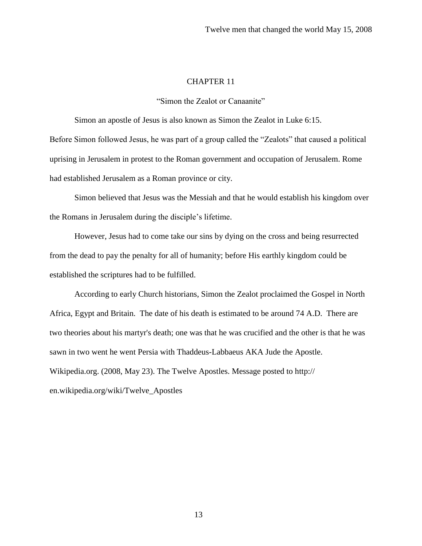"Simon the Zealot or Canaanite"

Simon an apostle of Jesus is also known as Simon the Zealot in Luke 6:15. Before Simon followed Jesus, he was part of a group called the "Zealots" that caused a political uprising in Jerusalem in protest to the Roman government and occupation of Jerusalem. Rome had established Jerusalem as a Roman province or city.

Simon believed that Jesus was the Messiah and that he would establish his kingdom over the Romans in Jerusalem during the disciple's lifetime.

However, Jesus had to come take our sins by dying on the cross and being resurrected from the dead to pay the penalty for all of humanity; before His earthly kingdom could be established the scriptures had to be fulfilled.

According to early Church historians, Simon the Zealot proclaimed the Gospel in North Africa, Egypt and Britain. The date of his death is estimated to be around 74 A.D. There are two theories about his martyr's death; one was that he was crucified and the other is that he was sawn in two went he went Persia with Thaddeus-Labbaeus AKA Jude the Apostle. Wikipedia.org. (2008, May 23). The Twelve Apostles. Message posted to http:// en.wikipedia.org/wiki/Twelve\_Apostles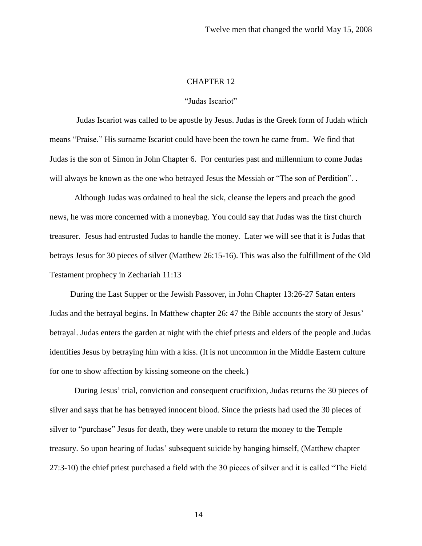# "Judas Iscariot"

Judas Iscariot was called to be apostle by Jesus. Judas is the Greek form of Judah which means "Praise." His surname Iscariot could have been the town he came from. We find that Judas is the son of Simon in John Chapter 6. For centuries past and millennium to come Judas will always be known as the one who betrayed Jesus the Messiah or "The son of Perdition". .

Although Judas was ordained to heal the sick, cleanse the lepers and preach the good news, he was more concerned with a moneybag. You could say that Judas was the first church treasurer. Jesus had entrusted Judas to handle the money. Later we will see that it is Judas that betrays Jesus for 30 pieces of silver (Matthew 26:15-16). This was also the fulfillment of the Old Testament prophecy in Zechariah 11:13

 During the Last Supper or the Jewish Passover, in John Chapter 13:26-27 Satan enters Judas and the betrayal begins. In Matthew chapter 26: 47 the Bible accounts the story of Jesus' betrayal. Judas enters the garden at night with the chief priests and elders of the people and Judas identifies Jesus by betraying him with a kiss. (It is not uncommon in the Middle Eastern culture for one to show affection by kissing someone on the cheek.)

During Jesus' trial, conviction and consequent crucifixion, Judas returns the 30 pieces of silver and says that he has betrayed innocent blood. Since the priests had used the 30 pieces of silver to "purchase" Jesus for death, they were unable to return the money to the Temple treasury. So upon hearing of Judas' subsequent suicide by hanging himself, (Matthew chapter 27:3-10) the chief priest purchased a field with the 30 pieces of silver and it is called "The Field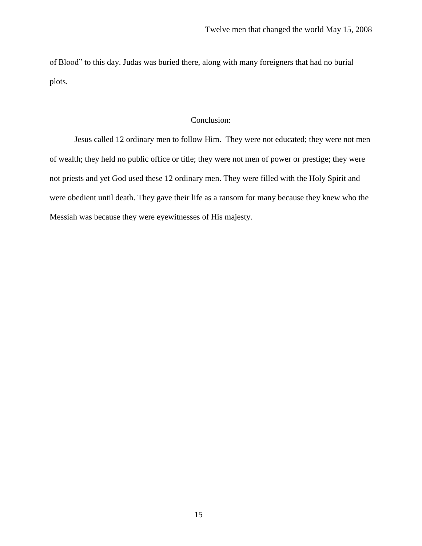of Blood" to this day. Judas was buried there, along with many foreigners that had no burial plots.

# Conclusion:

Jesus called 12 ordinary men to follow Him. They were not educated; they were not men of wealth; they held no public office or title; they were not men of power or prestige; they were not priests and yet God used these 12 ordinary men. They were filled with the Holy Spirit and were obedient until death. They gave their life as a ransom for many because they knew who the Messiah was because they were eyewitnesses of His majesty.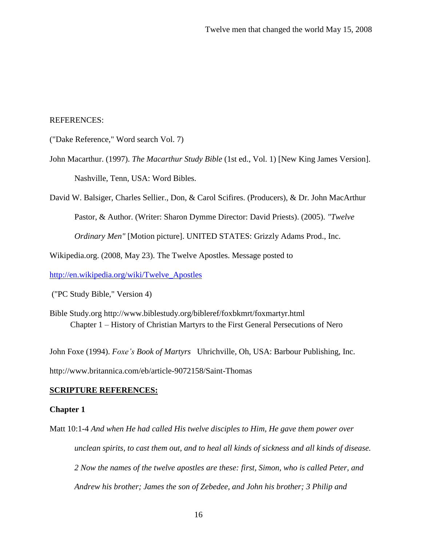#### REFERENCES:

("Dake Reference," Word search Vol. 7)

John Macarthur. (1997). *The Macarthur Study Bible* (1st ed., Vol. 1) [New King James Version]. Nashville, Tenn, USA: Word Bibles.

David W. Balsiger, Charles Sellier., Don, & Carol Scifires. (Producers), & Dr. John MacArthur Pastor, & Author. (Writer: Sharon Dymme Director: David Priests). (2005). *"Twelve Ordinary Men"* [Motion picture]. UNITED STATES: Grizzly Adams Prod., Inc.

Wikipedia.org. (2008, May 23). The Twelve Apostles. Message posted to

[http://en.wikipedia.org/wiki/Twelve\\_Apostles](http://​/​en.wikipedia.org/​wiki/​Twelve_Apostles)

("PC Study Bible," Version 4)

Bible Study.org http://www.biblestudy.org/bibleref/foxbkmrt/foxmartyr.html Chapter 1 – History of Christian Martyrs to the First General Persecutions of Nero

John Foxe (1994). *Foxe's Book of Martyrs* Uhrichville, Oh, USA: Barbour Publishing, Inc. http://www.britannica.com/eb/article-9072158/Saint-Thomas

## **SCRIPTURE REFERENCES:**

# **Chapter 1**

Matt 10:1-4 *And when He had called His twelve disciples to Him, He gave them power over unclean spirits, to cast them out, and to heal all kinds of sickness and all kinds of disease. 2 Now the names of the twelve apostles are these: first, Simon, who is called Peter, and Andrew his brother; James the son of Zebedee, and John his brother; 3 Philip and*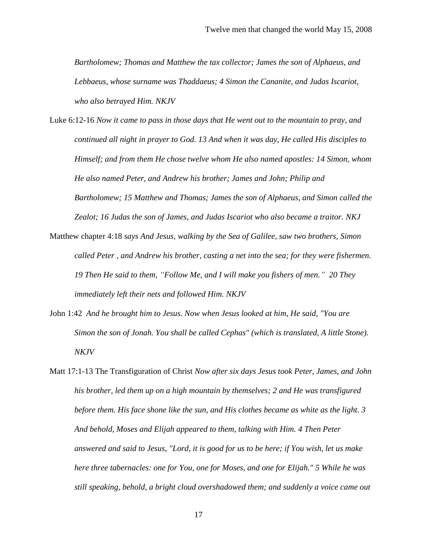*Bartholomew; Thomas and Matthew the tax collector; James the son of Alphaeus, and Lebbaeus, whose surname was Thaddaeus; 4 Simon the Cananite, and Judas Iscariot, who also betrayed Him. NKJV*

- Luke 6:12-16 *Now it came to pass in those days that He went out to the mountain to pray, and continued all night in prayer to God. 13 And when it was day, He called His disciples to Himself; and from them He chose twelve whom He also named apostles: 14 Simon, whom He also named Peter, and Andrew his brother; James and John; Philip and Bartholomew; 15 Matthew and Thomas; James the son of Alphaeus, and Simon called the Zealot; 16 Judas the son of James, and Judas Iscariot who also became a traitor. NKJ*
- Matthew chapter 4:18 *says And Jesus, walking by the Sea of Galilee, saw two brothers, Simon called Peter , and Andrew his brother, casting a net into the sea; for they were fishermen. 19 Then He said to them, "Follow Me, and I will make you fishers of men." 20 They immediately left their nets and followed Him. NKJV*
- John 1:42 *And he brought him to Jesus. Now when Jesus looked at him, He said, "You are Simon the son of Jonah. You shall be called Cephas" (which is translated, A little Stone). NKJV*
- Matt 17:1-13 The Transfiguration of Christ *Now after six days Jesus took Peter, James, and John his brother, led them up on a high mountain by themselves; 2 and He was transfigured before them. His face shone like the sun, and His clothes became as white as the light. 3 And behold, Moses and Elijah appeared to them, talking with Him. 4 Then Peter answered and said to Jesus, "Lord, it is good for us to be here; if You wish, let us make here three tabernacles: one for You, one for Moses, and one for Elijah." 5 While he was still speaking, behold, a bright cloud overshadowed them; and suddenly a voice came out*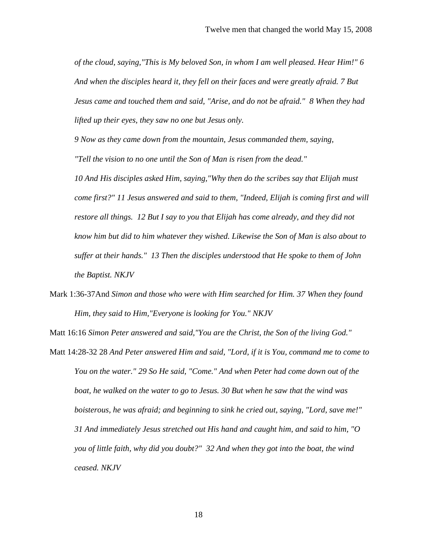*of the cloud, saying,"This is My beloved Son, in whom I am well pleased. Hear Him!" 6 And when the disciples heard it, they fell on their faces and were greatly afraid. 7 But Jesus came and touched them and said, "Arise, and do not be afraid." 8 When they had lifted up their eyes, they saw no one but Jesus only.* 

*9 Now as they came down from the mountain, Jesus commanded them, saying, "Tell the vision to no one until the Son of Man is risen from the dead." 10 And His disciples asked Him, saying,"Why then do the scribes say that Elijah must come first?" 11 Jesus answered and said to them, "Indeed, Elijah is coming first and will restore all things. 12 But I say to you that Elijah has come already, and they did not know him but did to him whatever they wished. Likewise the Son of Man is also about to suffer at their hands." 13 Then the disciples understood that He spoke to them of John the Baptist. NKJV*

Mark 1:36-37And *Simon and those who were with Him searched for Him. 37 When they found Him, they said to Him,"Everyone is looking for You." NKJV*

Matt 16:16 *Simon Peter answered and said,"You are the Christ, the Son of the living God."*

Matt 14:28-32 28 *And Peter answered Him and said, "Lord, if it is You, command me to come to You on the water." 29 So He said, "Come." And when Peter had come down out of the boat, he walked on the water to go to Jesus. 30 But when he saw that the wind was boisterous, he was afraid; and beginning to sink he cried out, saying, "Lord, save me!" 31 And immediately Jesus stretched out His hand and caught him, and said to him, "O you of little faith, why did you doubt?" 32 And when they got into the boat, the wind ceased. NKJV*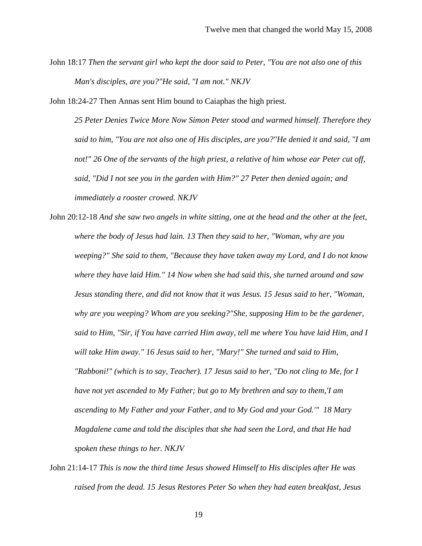John 18:17 *Then the servant girl who kept the door said to Peter, "You are not also one of this Man's disciples, are you?"He said, "I am not." NKJV*

John 18:24-27 Then Annas sent Him bound to Caiaphas the high priest.

*25 Peter Denies Twice More Now Simon Peter stood and warmed himself. Therefore they said to him, "You are not also one of His disciples, are you?"He denied it and said, "I am not!" 26 One of the servants of the high priest, a relative of him whose ear Peter cut off, said, "Did I not see you in the garden with Him?" 27 Peter then denied again; and immediately a rooster crowed. NKJV*

- John 20:12-18 *And she saw two angels in white sitting, one at the head and the other at the feet, where the body of Jesus had lain. 13 Then they said to her, "Woman, why are you weeping?" She said to them, "Because they have taken away my Lord, and I do not know where they have laid Him." 14 Now when she had said this, she turned around and saw Jesus standing there, and did not know that it was Jesus. 15 Jesus said to her, "Woman, why are you weeping? Whom are you seeking?"She, supposing Him to be the gardener, said to Him, "Sir, if You have carried Him away, tell me where You have laid Him, and I will take Him away." 16 Jesus said to her, "Mary!" She turned and said to Him, "Rabboni!" (which is to say, Teacher). 17 Jesus said to her, "Do not cling to Me, for I have not yet ascended to My Father; but go to My brethren and say to them,'I am ascending to My Father and your Father, and to My God and your God.'" 18 Mary Magdalene came and told the disciples that she had seen the Lord, and that He had spoken these things to her. NKJV*
- John 21:14-17 *This is now the third time Jesus showed Himself to His disciples after He was raised from the dead. 15 Jesus Restores Peter So when they had eaten breakfast, Jesus*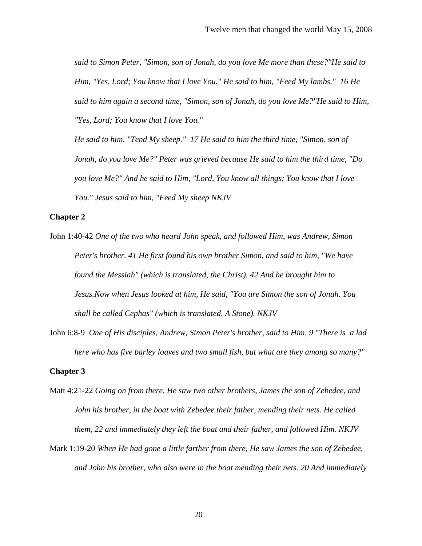*said to Simon Peter, "Simon, son of Jonah, do you love Me more than these?"He said to Him, "Yes, Lord; You know that I love You." He said to him, "Feed My lambs." 16 He said to him again a second time, "Simon, son of Jonah, do you love Me?"He said to Him, "Yes, Lord; You know that I love You."*

*He said to him, "Tend My sheep." 17 He said to him the third time, "Simon, son of Jonah, do you love Me?" Peter was grieved because He said to him the third time, "Do you love Me?" And he said to Him, "Lord, You know all things; You know that I love You." Jesus said to him, "Feed My sheep NKJV*

#### **Chapter 2**

John 1:40-42 *One of the two who heard John speak, and followed Him, was Andrew, Simon Peter's brother. 41 He first found his own brother Simon, and said to him, "We have found the Messiah" (which is translated, the Christ). 42 And he brought him to Jesus.Now when Jesus looked at him, He said, "You are Simon the son of Jonah. You shall be called Cephas" (which is translated, A Stone). NKJV*

John 6:8-9 *One of His disciples, Andrew, Simon Peter's brother, said to Him, 9 "There is a lad here who has five barley loaves and two small fish, but what are they among so many?"* 

#### **Chapter 3**

- Matt 4:21-22 *Going on from there, He saw two other brothers, James the son of Zebedee, and John his brother, in the boat with Zebedee their father, mending their nets. He called them, 22 and immediately they left the boat and their father, and followed Him. NKJV*
- Mark 1:19-20 *When He had gone a little farther from there, He saw James the son of Zebedee, and John his brother, who also were in the boat mending their nets. 20 And immediately*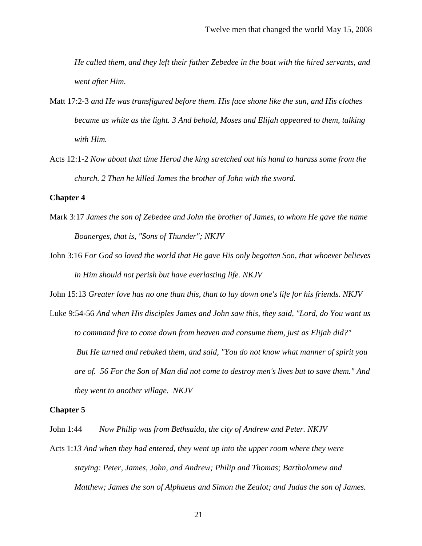*He called them, and they left their father Zebedee in the boat with the hired servants, and went after Him.* 

- Matt 17:2-3 *and He was transfigured before them. His face shone like the sun, and His clothes became as white as the light. 3 And behold, Moses and Elijah appeared to them, talking with Him.*
- Acts 12:1-2 *Now about that time Herod the king stretched out his hand to harass some from the church. 2 Then he killed James the brother of John with the sword.*

# **Chapter 4**

- Mark 3:17 *James the son of Zebedee and John the brother of James, to whom He gave the name Boanerges, that is, "Sons of Thunder"; NKJV*
- John 3:16 *For God so loved the world that He gave His only begotten Son, that whoever believes in Him should not perish but have everlasting life. NKJV*

John 15:13 *Greater love has no one than this, than to lay down one's life for his friends. NKJV*

Luke 9:54-56 *And when His disciples James and John saw this, they said, "Lord, do You want us to command fire to come down from heaven and consume them, just as Elijah did?" But He turned and rebuked them, and said, "You do not know what manner of spirit you are of. 56 For the Son of Man did not come to destroy men's lives but to save them." And they went to another village. NKJV*

#### **Chapter 5**

John 1:44 *Now Philip was from Bethsaida, the city of Andrew and Peter. NKJV*

Acts 1:*13 And when they had entered, they went up into the upper room where they were staying: Peter, James, John, and Andrew; Philip and Thomas; Bartholomew and Matthew; James the son of Alphaeus and Simon the Zealot; and Judas the son of James.*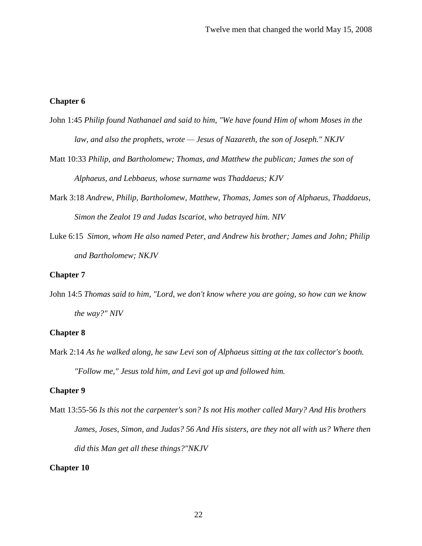#### **Chapter 6**

- John 1:45 *Philip found Nathanael and said to him, "We have found Him of whom Moses in the law, and also the prophets, wrote — Jesus of Nazareth, the son of Joseph." NKJV*
- Matt 10:33 *Philip, and Bartholomew; Thomas, and Matthew the publican; James the son of Alphaeus, and Lebbaeus, whose surname was Thaddaeus; KJV*
- Mark 3:18 *Andrew, Philip, Bartholomew, Matthew, Thomas, James son of Alphaeus, Thaddaeus, Simon the Zealot 19 and Judas Iscariot, who betrayed him. NIV*
- Luke 6:15 *Simon, whom He also named Peter, and Andrew his brother; James and John; Philip and Bartholomew; NKJV*

#### **Chapter 7**

John 14:5 *Thomas said to him, "Lord, we don't know where you are going, so how can we know the way?" NIV*

# **Chapter 8**

Mark 2:14 *As he walked along, he saw Levi son of Alphaeus sitting at the tax collector's booth. "Follow me," Jesus told him, and Levi got up and followed him.*

## **Chapter 9**

Matt 13:55-56 *Is this not the carpenter's son? Is not His mother called Mary? And His brothers James, Joses, Simon, and Judas? 56 And His sisters, are they not all with us? Where then did this Man get all these things?"NKJV*

#### **Chapter 10**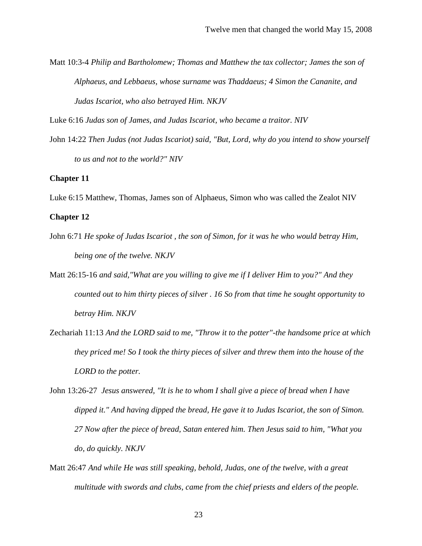Matt 10:3-4 *Philip and Bartholomew; Thomas and Matthew the tax collector; James the son of Alphaeus, and Lebbaeus, whose surname was Thaddaeus; 4 Simon the Cananite, and Judas Iscariot, who also betrayed Him. NKJV*

Luke 6:16 *Judas son of James, and Judas Iscariot, who became a traitor. NIV*

John 14:22 *Then Judas (not Judas Iscariot) said, "But, Lord, why do you intend to show yourself to us and not to the world?" NIV*

#### **Chapter 11**

Luke 6:15 Matthew, Thomas, James son of Alphaeus, Simon who was called the Zealot NIV

#### **Chapter 12**

- John 6:71 *He spoke of Judas Iscariot , the son of Simon, for it was he who would betray Him, being one of the twelve. NKJV*
- Matt 26:15-16 *and said,"What are you willing to give me if I deliver Him to you?" And they counted out to him thirty pieces of silver . 16 So from that time he sought opportunity to betray Him. NKJV*
- Zechariah 11:13 *And the LORD said to me, "Throw it to the potter"-the handsome price at which they priced me! So I took the thirty pieces of silver and threw them into the house of the LORD to the potter.*

John 13:26-27 *Jesus answered, "It is he to whom I shall give a piece of bread when I have dipped it." And having dipped the bread, He gave it to Judas Iscariot, the son of Simon. 27 Now after the piece of bread, Satan entered him. Then Jesus said to him, "What you do, do quickly. NKJV*

Matt 26:47 *And while He was still speaking, behold, Judas, one of the twelve, with a great multitude with swords and clubs, came from the chief priests and elders of the people.*